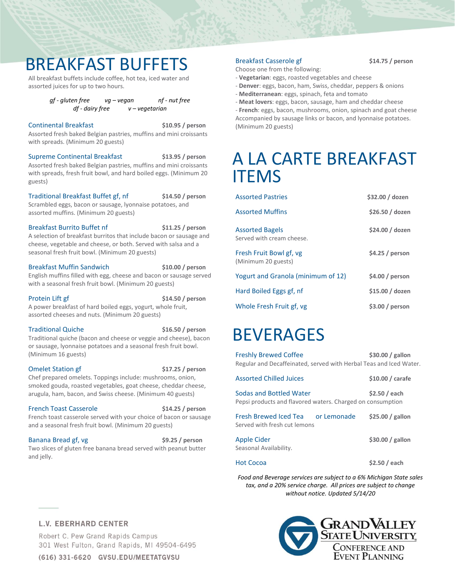# BREAKFAST BUFFETS

All breakfast buffets include coffee, hot tea, iced water and assorted juices for up to two hours.

> *gf - gluten free vg – vegan nf - nut free df - dairy free v – vegetarian*

#### Continental Breakfast **\$10.95 / person** Assorted fresh baked Belgian pastries, muffins and mini croissants with spreads. (Minimum 20 guests)

Supreme Continental Breakfast **\$13.95 / person** Assorted fresh baked Belgian pastries, muffins and mini croissants with spreads, fresh fruit bowl, and hard boiled eggs. (Minimum 20 guests)

Traditional Breakfast Buffet gf, nf **\$14.50 / person** Scrambled eggs, bacon or sausage, lyonnaise potatoes, and assorted muffins. (Minimum 20 guests)

Breakfast Burrito Buffet nf **\$11.25 / person** A selection of breakfast burritos that include bacon or sausage and cheese, vegetable and cheese, or both. Served with salsa and a seasonal fresh fruit bowl. (Minimum 20 guests)

#### Breakfast Muffin Sandwich **\$10.00 / person** English muffins filled with egg, cheese and bacon or sausage served with a seasonal fresh fruit bowl. (Minimum 20 guests)

Protein Lift gf **\$14.50 / person** A power breakfast of hard boiled eggs, yogurt, whole fruit, assorted cheeses and nuts. (Minimum 20 guests)

Traditional Quiche **\$16.50 / person** Traditional quiche (bacon and cheese or veggie and cheese), bacon or sausage, lyonnaise potatoes and a seasonal fresh fruit bowl. (Minimum 16 guests)

Omelet Station gf **\$17.25 / person** Chef prepared omelets. Toppings include: mushrooms, onion, smoked gouda, roasted vegetables, goat cheese, cheddar cheese, arugula, ham, bacon, and Swiss cheese. (Minimum 40 guests)

French Toast Casserole **\$14.25 / person** French toast casserole served with your choice of bacon or sausage and a seasonal fresh fruit bowl. (Minimum 20 guests)

Banana Bread gf, vg **\$9.25** / person Two slices of gluten free banana bread served with peanut butter and jelly.

### Breakfast Casserole gf **\$14.75 / person**

Choose one from the following:

- **Vegetarian**: eggs, roasted vegetables and cheese
- **Denver**: eggs, bacon, ham, Swiss, cheddar, peppers & onions
- **Mediterranean**: eggs, spinach, feta and tomato
- **Meat lovers**: eggs, bacon, sausage, ham and cheddar cheese - **French**: eggs, bacon, mushrooms, onion, spinach and goat cheese Accompanied by sausage links or bacon, and lyonnaise potatoes. (Minimum 20 guests)

# A LA CARTE BREAKFAST ITEMS

| <b>Assorted Pastries</b>                            | \$32.00 / dozen |
|-----------------------------------------------------|-----------------|
| <b>Assorted Muffins</b>                             | \$26.50 / dozen |
| <b>Assorted Bagels</b><br>Served with cream cheese. | \$24.00 / dozen |
| Fresh Fruit Bowl gf, vg<br>(Minimum 20 guests)      | \$4.25/person   |
| Yogurt and Granola (minimum of 12)                  | \$4.00 / person |
| Hard Boiled Eggs gf, nf                             | \$15.00 / dozen |
| Whole Fresh Fruit gf, vg                            | \$3.00/person   |

# BEVERAGES

Freshly Brewed Coffee **\$30.00 / gallon** Regular and Decaffeinated, served with Herbal Teas and Iced Water.

| <b>Assorted Chilled Juices</b>                                                        | \$10.00 / carafe  |
|---------------------------------------------------------------------------------------|-------------------|
| Sodas and Bottled Water<br>Pepsi products and flavored waters. Charged on consumption | \$2.50 / each     |
| Fresh Brewed Iced Tea or Lemonade<br>Served with fresh cut lemons                     | $$25.00 /$ gallon |
| <b>Apple Cider</b><br>Seasonal Availability.                                          | $$30.00 /$ gallon |
| <b>Hot Cocoa</b>                                                                      | \$2.50 / each     |

*Food and Beverage services are subject to a 6% Michigan State sales tax, and a 20% service charge. All prices are subject to change without notice. Updated 5/14/20*

# **L.V. EBERHARD CENTER**

Robert C. Pew Grand Rapids Campus 301 West Fulton, Grand Rapids, MI 49504-6495

(616) 331-6620 GVSU.EDU/MEETATGVSU

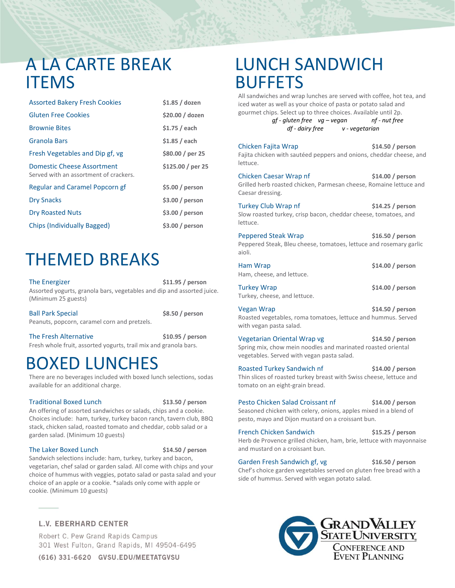# A LA CARTE BREAK **ITFMS**

| <b>Assorted Bakery Fresh Cookies</b>                                 | \$1.85 / dozen    |
|----------------------------------------------------------------------|-------------------|
| <b>Gluten Free Cookies</b>                                           | \$20.00 / dozen   |
| <b>Brownie Bites</b>                                                 | $$1.75/$ each     |
| Granola Bars                                                         | \$1.85 / each     |
| Fresh Vegetables and Dip gf, vg                                      | \$80.00 / per 25  |
| Domestic Cheese Assortment<br>Served with an assortment of crackers. | \$125.00 / per 25 |
| <b>Regular and Caramel Popcorn gf</b>                                | \$5.00/person     |
| <b>Dry Snacks</b>                                                    | \$3.00 / person   |
| <b>Dry Roasted Nuts</b>                                              | \$3.00 / person   |
| Chips (Individually Bagged)                                          | \$3.00/person     |

# THEMED BREAKS

The Energizer **\$11.95 / person** Assorted yogurts, granola bars, vegetables and dip and assorted juice. (Minimum 25 guests)

Ball Park Special **\$8.50 / person** Peanuts, popcorn, caramel corn and pretzels.

The Fresh Alternative **\$10.95 / person** Fresh whole fruit, assorted yogurts, trail mix and granola bars.

# BOXED LUNCHES

There are no beverages included with boxed lunch selections, sodas available for an additional charge.

### Traditional Boxed Lunch **\$13.50 / person**

An offering of assorted sandwiches or salads, chips and a cookie. Choices include: ham, turkey, turkey bacon ranch, tavern club, BBQ stack, chicken salad, roasted tomato and cheddar, cobb salad or a garden salad. (Minimum 10 guests)

### The Laker Boxed Lunch **\$14.50 / person**

Sandwich selections include: ham, turkey, turkey and bacon, vegetarian, chef salad or garden salad. All come with chips and your choice of hummus with veggies, potato salad or pasta salad and your choice of an apple or a cookie. \*salads only come with apple or cookie. (Minimum 10 guests)

# **L.V. EBERHARD CENTER**

Robert C. Pew Grand Rapids Campus 301 West Fulton, Grand Rapids, MI 49504-6495

# LUNCH SANDWICH BUFFETS

All sandwiches and wrap lunches are served with coffee, hot tea, and iced water as well as your choice of pasta or potato salad and gourmet chips. Select up to three choices. Available until 2p. *gf - gluten free vg – vegan nf - nut free* 

*df - dairy free v - vegetarian*

Chicken Fajita Wrap **\$14.50 / person** Fajita chicken with sautéed peppers and onions, cheddar cheese, and lettuce.

Chicken Caesar Wrap nf **\$14.00 / person** Grilled herb roasted chicken, Parmesan cheese, Romaine lettuce and Caesar dressing.

Turkey Club Wrap nf **\$14.25 / person** Slow roasted turkey, crisp bacon, cheddar cheese, tomatoes, and lettuce.

Peppered Steak Wrap **\$16.50 / person** Peppered Steak, Bleu cheese, tomatoes, lettuce and rosemary garlic aioli.

| Ham Wrap                  | $$14.00/$ person |
|---------------------------|------------------|
| Ham, cheese, and lettuce. |                  |

Turkey Wrap **\$14.00 / person** Turkey, cheese, and lettuce.

Vegan Wrap **\$14.50 / person** Roasted vegetables, roma tomatoes, lettuce and hummus. Served with vegan pasta salad.

Vegetarian Oriental Wrap vg **\$14.50 / person** Spring mix, chow mein noodles and marinated roasted oriental vegetables. Served with vegan pasta salad.

Roasted Turkey Sandwich nf **\$14.00 / person** Thin slices of roasted turkey breast with Swiss cheese, lettuce and tomato on an eight-grain bread.

Pesto Chicken Salad Croissant nf **\$14.00 / person** Seasoned chicken with celery, onions, apples mixed in a blend of pesto, mayo and Dijon mustard on a croissant bun.

French Chicken Sandwich **\$15.25 / person** Herb de Provence grilled chicken, ham, brie, lettuce with mayonnaise and mustard on a croissant bun.

Garden Fresh Sandwich gf, vg **\$16.50** / person Chef's choice garden vegetables served on gluten free bread with a side of hummus. Served with vegan potato salad.



(616) 331-6620 GVSU.EDU/MEETATGVSU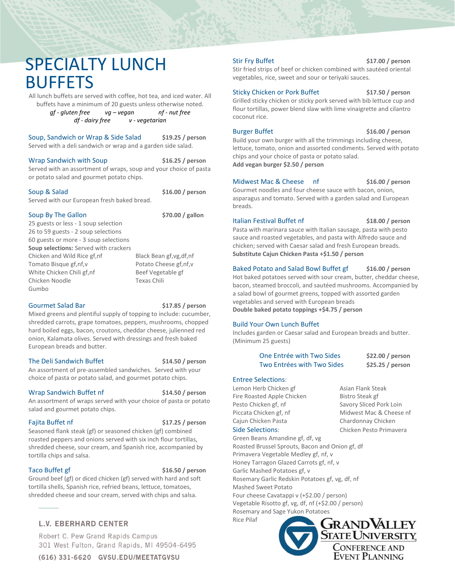# SPECIALTY LUNCH **BUFFETS**

All lunch buffets are served with coffee, hot tea, and iced water. All buffets have a minimum of 20 guests unless otherwise noted.

> *gf - gluten free vg – vegan nf - nut free df - dairy free v - vegetarian*

Soup, Sandwich or Wrap & Side Salad **\$19.25 / person** Served with a deli sandwich or wrap and a garden side salad.

Wrap Sandwich with Soup **\$16.25 / person** Served with an assortment of wraps, soup and your choice of pasta or potato salad and gourmet potato chips.

# Soup & Salad **\$16.00 / person**

Served with our European fresh baked bread.

## Soup By The Gallon **\$70.00** / gallon

25 guests or less - 1 soup selection 26 to 59 guests - 2 soup selections 60 guests or more - 3 soup selections **Soup selections:** Served with crackers Chicken and Wild Rice gf,nf Black Bean gf,vg,df,nf Tomato Bisque gf,nf,v Potato Cheese gf,nf,v White Chicken Chili gf,nf Beef Vegetable gf Chicken Noodle Texas Chili Gumbo

### Gourmet Salad Bar **\$17.85 / person**

Mixed greens and plentiful supply of topping to include: cucumber, shredded carrots, grape tomatoes, peppers, mushrooms, chopped hard boiled eggs, bacon, croutons, cheddar cheese, julienned red onion, Kalamata olives. Served with dressings and fresh baked European breads and butter.

### The Deli Sandwich Buffet **\$14.50 / person**

An assortment of pre-assembled sandwiches. Served with your choice of pasta or potato salad, and gourmet potato chips.

### Wrap Sandwich Buffet nf **\$14.50 / person**

An assortment of wraps served with your choice of pasta or potato salad and gourmet potato chips.

Fajita Buffet nf **\$17.25 / person**

Seasoned flank steak (gf) or seasoned chicken (gf) combined roasted peppers and onions served with six inch flour tortillas, shredded cheese, sour cream, and Spanish rice, accompanied by tortilla chips and salsa.

Taco Buffet gf **\$16.50 / person**

Ground beef (gf) or diced chicken (gf) served with hard and soft tortilla shells, Spanish rice, refried beans, lettuce, tomatoes, shredded cheese and sour cream, served with chips and salsa.

# **L.V. EBERHARD CENTER**

Robert C. Pew Grand Rapids Campus 301 West Fulton, Grand Rapids, MI 49504-6495

(616) 331-6620 GVSU.EDU/MEETATGVSU

Stir Fry Buffet **\$17.00 / person**

Stir fried strips of beef or chicken combined with sautéed oriental vegetables, rice, sweet and sour or teriyaki sauces.

### Sticky Chicken or Pork Buffet **\$17.50 / person**

Grilled sticky chicken or sticky pork served with bib lettuce cup and flour tortillas, power blend slaw with lime vinaigrette and cilantro coconut rice.

Burger Buffet **\$16.00 / person**

Build your own burger with all the trimmings including cheese, lettuce, tomato, onion and assorted condiments. Served with potato chips and your choice of pasta or potato salad. **Add vegan burger \$2.50 / person** 

## Midwest Mac & Cheese nf **\$16.00 / person**

Gourmet noodles and four cheese sauce with bacon, onion, asparagus and tomato. Served with a garden salad and European breads.

### Italian Festival Buffet nf **\$18.00 / person**

Pasta with marinara sauce with Italian sausage, pasta with pesto sauce and roasted vegetables, and pasta with Alfredo sauce and chicken; served with Caesar salad and fresh European breads. **Substitute Cajun Chicken Pasta +\$1.50 / person**

## Baked Potato and Salad Bowl Buffet gf **\$16.00 / person**

Hot baked potatoes served with sour cream, butter, cheddar cheese, bacon, steamed broccoli, and sautéed mushrooms. Accompanied by a salad bowl of gourmet greens, topped with assorted garden vegetables and served with European breads **Double baked potato toppings +\$4.75 / person**

## Build Your Own Lunch Buffet

Includes garden or Caesar salad and European breads and butter. (Minimum 25 guests)

| One Entrée with Two Sides  | \$22.00/person   |
|----------------------------|------------------|
| Two Entrées with Two Sides | \$25.25 / person |

## Entree Selections:

Lemon Herb Chicken gf Asian Flank Steak Fire Roasted Apple Chicken Bistro Steak gf Pesto Chicken gf, nf Savory Sliced Pork Loin Piccata Chicken gf, nf Midwest Mac & Cheese nf Cajun Chicken Pasta Chardonnay Chicken Side Selections: Chicken Pesto Primavera

Green Beans Amandine gf, df, vg Roasted Brussel Sprouts, Bacon and Onion gf, df Primavera Vegetable Medley gf, nf, v Honey Tarragon Glazed Carrots gf, nf, v Garlic Mashed Potatoes gf, v Rosemary Garlic Redskin Potatoes gf, vg, df, nf Mashed Sweet Potato Four cheese Cavatappi v (+\$2.00 / person)

Vegetable Risotto gf, vg, df, nf (+\$2.00 / person) Rosemary and Sage Yukon Potatoes

Rice Pilaf

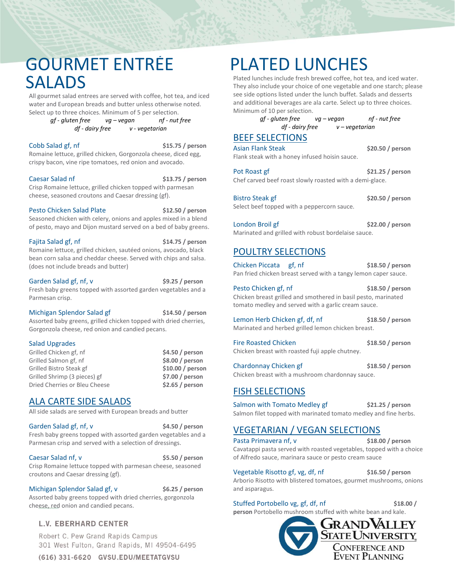# GOURMET ENTRÉE SALADS

All gourmet salad entrees are served with coffee, hot tea, and iced water and European breads and butter unless otherwise noted. Select up to three choices. Minimum of 5 per selection.

> *gf - gluten free vg – vegan nf - nut free df - dairy free v - vegetarian*

Cobb Salad gf, nf **\$15.75 / person**

Romaine lettuce, grilled chicken, Gorgonzola cheese, diced egg, crispy bacon, vine ripe tomatoes, red onion and avocado.

Caesar Salad nf **\$13.75 / person** Crisp Romaine lettuce, grilled chicken topped with parmesan cheese, seasoned croutons and Caesar dressing (gf).

Pesto Chicken Salad Plate **\$12.50 / person** Seasoned chicken with celery, onions and apples mixed in a blend of pesto, mayo and Dijon mustard served on a bed of baby greens.

Fajita Salad gf, nf **\$14.75** / person Romaine lettuce, grilled chicken, sautéed onions, avocado, black bean corn salsa and cheddar cheese. Served with chips and salsa. (does not include breads and butter)

Garden Salad gf, nf, v **\$9.25** / person Fresh baby greens topped with assorted garden vegetables and a Parmesan crisp.

Michigan Splendor Salad gf **\$14.50 / person** Assorted baby greens, grilled chicken topped with dried cherries, Gorgonzola cheese, red onion and candied pecans.

### Salad Upgrades

| \$4.50/person     |
|-------------------|
| \$8.00 / person   |
| $$10.00 /$ person |
| $$7.00 /$ person  |
| \$2.65/person     |
|                   |

# ALA CARTE SIDE SALADS

All side salads are served with European breads and butter

Garden Salad gf, nf, v **\$4.50** / person Fresh baby greens topped with assorted garden vegetables and a Parmesan crisp and served with a selection of dressings.

Caesar Salad nf, v **\$5.50** / person Crisp Romaine lettuce topped with parmesan cheese, seasoned croutons and Caesar dressing (gf).

Michigan Splendor Salad gf, v \$6.25 / person Assorted baby greens topped with dried cherries, gorgonzola cheese, red onion and candied pecans.

# **L.V. EBERHARD CENTER**

Robert C. Pew Grand Rapids Campus 301 West Fulton, Grand Rapids, MI 49504-6495

(616) 331-6620 GVSU.EDU/MEETATGVSU

# PLATED LUNCHES

Plated lunches include fresh brewed coffee, hot tea, and iced water. They also include your choice of one vegetable and one starch; please see side options listed under the lunch buffet. Salads and desserts and additional beverages are ala carte. Select up to three choices. Minimum of 10 per selection.

 *gf - gluten free vg – vegan nf - nut free df - dairy free v – vegetarian*

# BEEF SELECTIONS

Asian Flank Steak **\$20.50 / person** Flank steak with a honey infused hoisin sauce.

Pot Roast gf **bluest and the S21.25 / person** Chef carved beef roast slowly roasted with a demi-glace.

Bistro Steak gf **\$20.50 / person** Select beef topped with a peppercorn sauce.

London Broil gf **\$22.00 / person** Marinated and grilled with robust bordelaise sauce.

# POULTRY SELECTIONS

Chicken Piccata gf, nf **\$18.50 / person** Pan fried chicken breast served with a tangy lemon caper sauce.

Pesto Chicken gf, nf **\$18.50 / person** Chicken breast grilled and smothered in basil pesto, marinated tomato medley and served with a garlic cream sauce.

Lemon Herb Chicken gf, df, nf **\$18.50 / person** Marinated and herbed grilled lemon chicken breast.

Fire Roasted Chicken **\$18.50 / person** Chicken breast with roasted fuji apple chutney.

Chardonnay Chicken gf **\$18.50 / person** Chicken breast with a mushroom chardonnay sauce.

# FISH SELECTIONS

Salmon with Tomato Medley gf **\$21.25 / person** Salmon filet topped with marinated tomato medley and fine herbs.

# VEGETARIAN / VEGAN SELECTIONS

Pasta Primavera nf, v<br> **\$18.00** / person Cavatappi pasta served with roasted vegetables, topped with a choice of Alfredo sauce, marinara sauce or pesto cream sauce

Vegetable Risotto gf, vg, df, nf **\$16.50 / person** Arborio Risotto with blistered tomatoes, gourmet mushrooms, onions and asparagus.

Stuffed Portobello vg, gf, df, nf **\$18.00 /** 

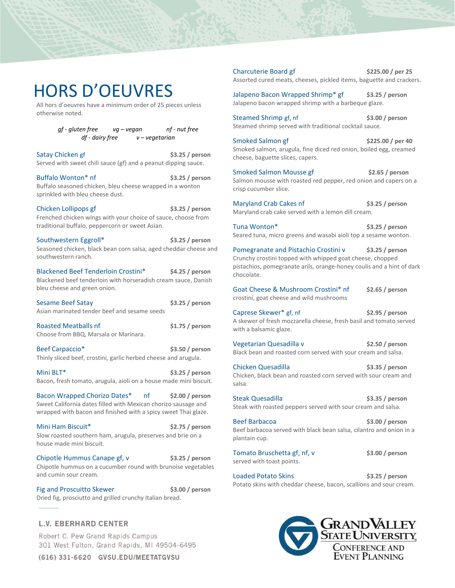# HORS D'OEUVRES

All hors d'oeuvres have a minimum order of 25 pieces unless otherwise noted.

> *gf - gluten free vg – vegan nf - nut free df - dairy free v – vegetarian*

Satay Chicken gf **\$3.25 / person** Served with sweet chili sauce (gf) and a peanut dipping sauce.

Buffalo Wonton\* nf **\$3.25 / person** Buffalo seasoned chicken, bleu cheese wrapped in a wonton sprinkled with bleu cheese dust.

Chicken Lollipops gf **\$3.25 / person** Frenched chicken wings with your choice of sauce, choose from traditional buffalo, peppercorn or sweet Asian.

Southwestern Eggroll\* **\$3.25 / person** Seasoned chicken, black bean corn salsa, aged cheddar cheese and southwestern ranch.

Blackened Beef Tenderloin Crostini\* **\$4.25 / person** Blackened beef tenderloin with horseradish cream sauce, Danish bleu cheese and green onion.

Sesame Beef Satay **\$3.25 / person** Asian marinated tender beef and sesame seeds

Roasted Meatballs nf **\$1.75 / person** Choose from BBQ, Marsala or Marinara.

Beef Carpaccio\* **\$3.50 / person** Thinly sliced beef, crostini, garlic herbed cheese and arugula.

Mini BLT\* **\$3.25 / person** Bacon, fresh tomato, arugula, aioli on a house made mini biscuit.

Bacon Wrapped Chorizo Dates\* nf **\$2.00 / person** Sweet California dates filled with Mexican chorizo sausage and wrapped with bacon and finished with a spicy sweet Thai glaze.

Mini Ham Biscuit\* **\$2.75 / person** Slow roasted southern ham, arugula, preserves and brie on a house made mini biscuit.

Chipotle Hummus Canape gf, v **\$3.25 / person** Chipotle hummus on a cucumber round with brunoise vegetables and cumin sour cream.

Fig and Proscuitto Skewer **\$3.00** / person Dried fig, prosciutto and grilled crunchy Italian bread.

# **L.V. EBERHARD CENTER**

Robert C. Pew Grand Rapids Campus 301 West Fulton, Grand Rapids, MI 49504-6495

(616) 331-6620 GVSU.EDU/MEETATGVSU

Charcuterie Board gf **\$225.00 / per 25** Assorted cured meats, cheeses, pickled items, baguette and crackers.

Jalapeno Bacon Wrapped Shrimp\* gf **\$3.25 / person** Jalapeno bacon wrapped shrimp with a barbeque glaze.

Steamed Shrimp gf, nf **\$3.00 / person** Steamed shrimp served with traditional cocktail sauce.

Smoked Salmon gf **\$225.00 / per 40** Smoked salmon, arugula, fine diced red onion, boiled egg, creamed cheese, baguette slices, capers.

Smoked Salmon Mousse gf **\$2.65 / person** Salmon mousse with roasted red pepper, red onion and capers on a crisp cucumber slice.

Maryland Crab Cakes nf **\$3.25 / person** Maryland crab cake served with a lemon dill cream.

Tuna Wonton\* **\$3.25 / person** Seared tuna, micro greens and wasabi aioli top a sesame wonton.

Pomegranate and Pistachio Crostini v \$3.25 / person Crunchy crostini topped with whipped goat cheese, chopped pistachios, pomegranate arils, orange-honey coulis and a hint of dark chocolate.

Goat Cheese & Mushroom Crostini\* nf **\$2.65 / person** crostini, goat cheese and wild mushrooms

Caprese Skewer\* gf, nf **\$2.95 / person** A skewer of fresh mozzarella cheese, fresh basil and tomato served with a balsamic glaze.

Vegetarian Quesadilla v **\$2.50 / person** Black bean and roasted corn served with sour cream and salsa.

Chicken Quesadilla **\$3.35 / person** Chicken, black bean and roasted corn served with sour cream and salsa.

Steak Quesadilla **\$3.35 / person** Steak with roasted peppers served with sour cream and salsa.

Beef Barbacoa **\$3.00 / person** Beef barbacoa served with black bean salsa, cilantro and onion in a plantain cup.

Tomato Bruschetta gf, nf, v  $$3.00 /$  person served with toast points.

Loaded Potato Skins **\$3.25 / person** Potato skins with cheddar cheese, bacon, scallions and sour cream.

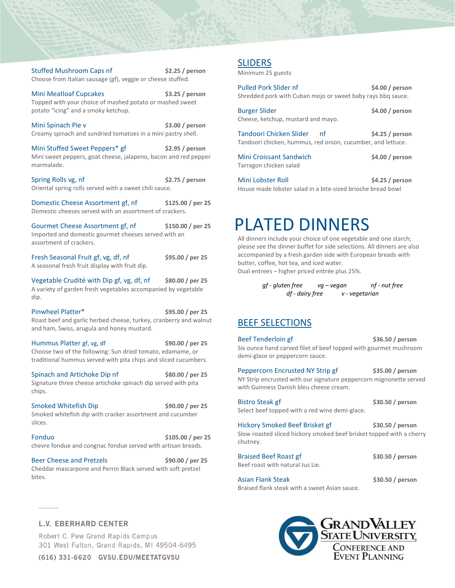Topped with your choice of mashed potato or mashed sweet potato "icing" and a smoky ketchup. Mini Spinach Pie v **\$3.00 / person** Creamy spinach and sundried tomatoes in a mini pastry shell. Mini Stuffed Sweet Peppers\* gf **\$2.95 / person** Mini sweet peppers, goat cheese, jalapeno, bacon and red pepper marmalade. Spring Rolls vg, nf **\$2.75 / person** Oriental spring rolls served with a sweet chili sauce. Domestic Cheese Assortment gf, nf **\$125.00 / per 25** Domestic cheeses served with an assortment of crackers. Gourmet Cheese Assortment gf, nf **\$150.00 / per 25** Imported and domestic gourmet cheeses served with an assortment of crackers. Fresh Seasonal Fruit gf, vg, df, nf  $\frac{1}{25}$ A seasonal fresh fruit display with fruit dip. Vegetable Crudité with Dip gf, vg, df, nf **\$80.00 / per 25** A variety of garden fresh vegetables accompanied by vegetable dip. Pinwheel Platter\* **\$95.00 / per 25** Roast beef and garlic herbed cheese, turkey, cranberry and walnut and ham, Swiss, arugula and honey mustard. Hummus Platter gf, vg, df **\$90.00 / per 25** Choose two of the following: Sun dried tomato, edamame, or traditional hummus served with pita chips and sliced cucumbers. Spinach and Artichoke Dip nf **\$80.00 / per 25** Signature three cheese artichoke spinach dip served with pita chips. Smoked Whitefish Dip **\$90.00** / per 25 Smoked whitefish dip with cracker assortment and cucumber slices. Fonduo **\$105.00 / per 25** chevre fondue and congnac fondue served with artisan breads. Beer Cheese and Pretzels **\$90.00 / per 25** Cheddar mascarpone and Perrin Black served with soft pretzel bites.

Stuffed Mushroom Caps nf **\$2.25 / person** Choose from Italian sausage (gf), veggie or cheese stuffed.

Mini Meatloaf Cupcakes **\$3.25 / person**

### **L.V. EBERHARD CENTER**

Robert C. Pew Grand Rapids Campus 301 West Fulton, Grand Rapids, MI 49504-6495

(616) 331-6620 GVSU.EDU/MEETATGVSU

# SLIDERS

Minimum 25 guests

| Pulled Pork Slider nf<br>Shredded pork with Cuban mojo or sweet baby rays bbg sauce.         | \$4.00 / person |
|----------------------------------------------------------------------------------------------|-----------------|
| <b>Burger Slider</b><br>Cheese, ketchup, mustard and mayo.                                   | \$4.00/person   |
| Tandoori Chicken Slider<br>nf<br>Tandoori chicken, hummus, red onion, cucumber, and lettuce. | \$4.25/person   |
| Mini Croissant Sandwich<br>Tarragon chicken salad                                            | \$4.00 / person |

Mini Lobster Roll **\$4.25 / person** House made lobster salad in a bite-sized brioche bread bowl

# PLATED DINNERS

All dinners include your choice of one vegetable and one starch; please see the dinner buffet for side selections. All dinners are also accompanied by a fresh garden side with European breads with butter, coffee, hot tea, and iced water. Dual entrees – higher priced entrée plus 25%.

> *gf - gluten free vg – vegan nf - nut free df - dairy free v - vegetarian*

# BEEF SELECTIONS

Beef Tenderloin gf **bluest and the S36.50 / person** Six ounce hand carved filet of beef topped with gourmet mushroom demi-glace or peppercorn sauce.

Peppercorn Encrusted NY Strip gf **\$35.00 / person** NY Strip encrusted with our signature peppercorn mignonette served with Guinness Danish bleu cheese cream.

Bistro Steak gf **\$30.50 / person**

Select beef topped with a red wine demi-glace.

Hickory Smoked Beef Brisket gf **\$30.50 / person** Slow roasted sliced hickory smoked beef brisket topped with a cherry

chutney.

Braised Beef Roast gf **\$30.50 / person** Beef roast with natural Jus Lie.

Asian Flank Steak **\$30.50 / person** Braised flank steak with a sweet Asian sauce.

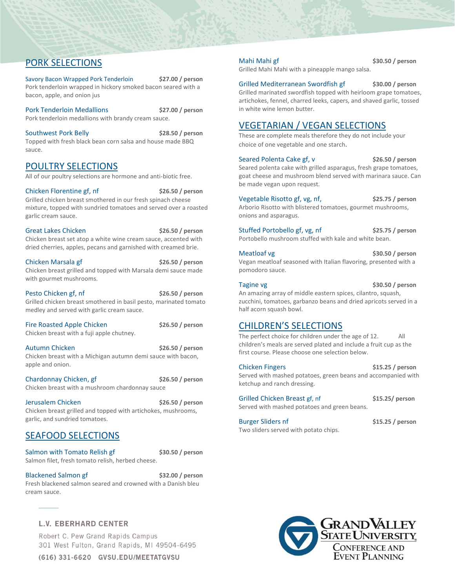# PORK SELECTIONS

Savory Bacon Wrapped Pork Tenderloin **\$27.00 / person** Pork tenderloin wrapped in hickory smoked bacon seared with a bacon, apple, and onion jus

Pork Tenderloin Medallions **\$27.00 / person** Pork tenderloin medallions with brandy cream sauce.

Southwest Pork Belly **\$28.50 / person** Topped with fresh black bean corn salsa and house made BBQ sauce.

# POULTRY SELECTIONS

All of our poultry selections are hormone and anti-biotic free.

Chicken Florentine gf, nf **\$26.50 / person** Grilled chicken breast smothered in our fresh spinach cheese mixture, topped with sundried tomatoes and served over a roasted garlic cream sauce.

Great Lakes Chicken **\$26.50** / person Chicken breast set atop a white wine cream sauce, accented with dried cherries, apples, pecans and garnished with creamed brie.

Chicken Marsala gf **\$26.50 / person** Chicken breast grilled and topped with Marsala demi sauce made with gourmet mushrooms.

Pesto Chicken gf, nf **\$26.50 / person** Grilled chicken breast smothered in basil pesto, marinated tomato medley and served with garlic cream sauce.

Fire Roasted Apple Chicken **\$26.50** / person Chicken breast with a fuji apple chutney.

Autumn Chicken **\$26.50 / person** Chicken breast with a Michigan autumn demi sauce with bacon, apple and onion.

Chardonnay Chicken, gf **\$26.50 / person** Chicken breast with a mushroom chardonnay sauce

Jerusalem Chicken **\$26.50 / person** Chicken breast grilled and topped with artichokes, mushrooms, garlic, and sundried tomatoes.

# SEAFOOD SELECTIONS

Salmon with Tomato Relish gf **\$30.50 / person** Salmon filet, fresh tomato relish, herbed cheese.

Blackened Salmon gf **\$32.00 / person** Fresh blackened salmon seared and crowned with a Danish bleu cream sauce.

# **L.V. EBERHARD CENTER**

Robert C. Pew Grand Rapids Campus 301 West Fulton, Grand Rapids, MI 49504-6495

(616) 331-6620 GVSU.EDU/MEETATGVSU

Mahi Mahi gf **\$30.50 / person** Grilled Mahi Mahi with a pineapple mango salsa.

Grilled Mediterranean Swordfish gf **\$30.00 / person** Grilled marinated swordfish topped with heirloom grape tomatoes, artichokes, fennel, charred leeks, capers, and shaved garlic, tossed in white wine lemon butter.

# VEGETARIAN / VEGAN SELECTIONS

These are complete meals therefore they do not include your choice of one vegetable and one starch.

Seared Polenta Cake gf, v<br>
\$26.50 / person Seared polenta cake with grilled asparagus, fresh grape tomatoes, goat cheese and mushroom blend served with marinara sauce. Can be made vegan upon request.

Vegetable Risotto gf, vg, nf, **\$25.75 / person** Arborio Risotto with blistered tomatoes, gourmet mushrooms, onions and asparagus.

Stuffed Portobello gf, vg, nf **\$25.75 / person** Portobello mushroom stuffed with kale and white bean.

Meatloaf vg **\$30.50 / person** Vegan meatloaf seasoned with Italian flavoring, presented with a pomodoro sauce.

Tagine vg **\$30.50** / person An amazing array of middle eastern spices, cilantro, squash, zucchini, tomatoes, garbanzo beans and dried apricots served in a half acorn squash bowl.

# CHILDREN'S SELECTIONS

The perfect choice for children under the age of 12. All children's meals are served plated and include a fruit cup as the first course. Please choose one selection below.

Chicken Fingers **\$15.25 / person** Served with mashed potatoes, green beans and accompanied with ketchup and ranch dressing.

Grilled Chicken Breast gf, nf **\$15.25/ person** Served with mashed potatoes and green beans.

Burger Sliders nf **\$15.25 / person** Two sliders served with potato chips.

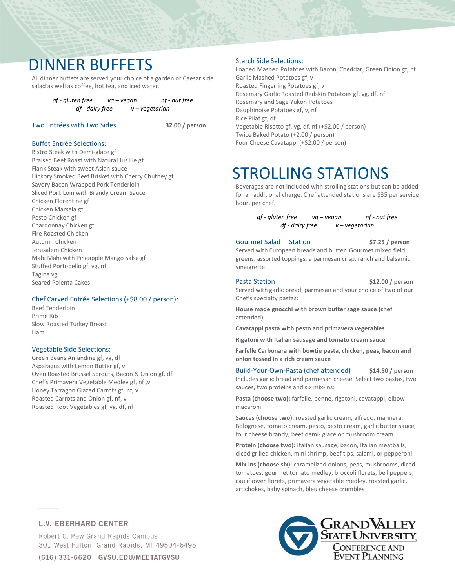# DINNER BUFFETS

All dinner buffets are served your choice of a garden or Caesar side salad as well as coffee, hot tea, and iced water.

> *gf - gluten free vg – vegan nf - nut free df - dairy free v – vegetarian*

## Two Entrées with Two Sides **32.00 / person**

# Buffet Entrée Selections:

Bistro Steak with Demi-glace gf Braised Beef Roast with Natural Jus Lie gf Flank Steak with sweet Asian sauce Hickory Smoked Beef Brisket with Cherry Chutney gf Savory Bacon Wrapped Pork Tenderloin Sliced Pork Loin with Brandy Cream Sauce Chicken Florentine gf Chicken Marsala gf Pesto Chicken gf Chardonnay Chicken gf Fire Roasted Chicken Autumn Chicken Jerusalem Chicken Mahi Mahi with Pineapple Mango Salsa gf Stuffed Portobello gf, vg, nf Tagine vg Seared Polenta Cakes

### Chef Carved Entrée Selections (+\$8.00 / person):

Beef Tenderloin Prime Rib Slow Roasted Turkey Breast Ham

### Vegetable Side Selections:

Green Beans Amandine gf, vg, df Asparagus with Lemon Butter gf, v Oven Roasted Brussel Sprouts, Bacon & Onion gf, df Chef's Primavera Vegetable Medley gf, nf ,v Honey Tarragon Glazed Carrots gf, nf, v Roasted Carrots and Onion gf, nf, v Roasted Root Vegetables gf, vg, df, nf

### Starch Side Selections:

Loaded Mashed Potatoes with Bacon, Cheddar, Green Onion gf, nf Garlic Mashed Potatoes gf, v Roasted Fingerling Potatoes gf, v Rosemary Garlic Roasted Redskin Potatoes gf, vg, df, nf Rosemary and Sage Yukon Potatoes Dauphinoise Potatoes gf, v, nf Rice Pilaf gf, df Vegetable Risotto gf, vg, df, nf (+\$2.00 / person) Twice Baked Potato (+2.00 / person) Four Cheese Cavatappi (+\$2.00 / person)

# STROLLING STATIONS

Beverages are not included with strolling stations but can be added for an additional charge. Chef attended stations are \$35 per service hour, per chef.

> *gf - gluten free vg – vegan nf - nut free df - dairy free v – vegetarian*

Gourmet Salad Station **\$7.25 / person** Served with European breads and butter. Gourmet mixed field

greens, assorted toppings, a parmesan crisp, ranch and balsamic vinaigrette.

#### Pasta Station **\$12.00** / person Served with garlic bread, parmesan and your choice of two of our Chef's specialty pastas:

**House made gnocchi with brown butter sage sauce (chef attended)** 

**Cavatappi pasta with pesto and primavera vegetables**

**Rigatoni with Italian sausage and tomato cream sauce**

**Farfelle Carbonara with bowtie pasta, chicken, peas, bacon and onion tossed in a rich cream sauce**

#### Build-Your-Own-Pasta (chef attended) **\$14.50 / person**

Includes garlic bread and parmesan cheese. Select two pastas, two sauces, two proteins and six mix-ins:

**Pasta (choose two):** farfalle, penne, rigatoni, cavatappi, elbow macaroni

**Sauces (choose two):** roasted garlic cream, alfredo, marinara, Bolognese, tomato cream, pesto, pesto cream, garlic butter sauce, four cheese brandy, beef demi- glace or mushroom cream.

**Protein (choose two):** Italian sausage, bacon, Italian meatballs, diced grilled chicken, mini shrimp, beef tips, salami, or pepperoni

**Mix-ins (choose six):** caramelized onions, peas, mushrooms, diced tomatoes, gourmet tomato medley, broccoli florets, bell peppers, cauliflower florets, primavera vegetable medley, roasted garlic, artichokes, baby spinach, bleu cheese crumbles

## **L.V. EBERHARD CENTER**

Robert C. Pew Grand Rapids Campus 301 West Fulton, Grand Rapids, MI 49504-6495



(616) 331-6620 GVSU.EDU/MEETATGVSU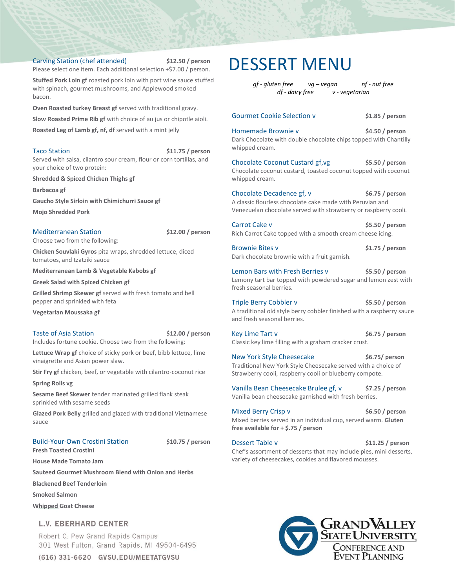### Carving Station (chef attended) **\$12.50 / person**

Please select one item. Each additional selection +\$7.00 / person.

**Stuffed Pork Loin gf** roasted pork loin with port wine sauce stuffed with spinach, gourmet mushrooms, and Applewood smoked bacon.

**Oven Roasted turkey Breast gf** served with traditional gravy.

**Slow Roasted Prime Rib gf** with choice of au jus or chipotle aioli.

**Roasted Leg of Lamb gf, nf, df** served with a mint jelly

Taco Station **by S11.75** / person Served with salsa, cilantro sour cream, flour or corn tortillas, and

your choice of two protein:

**Shredded & Spiced Chicken Thighs gf**

**Barbacoa gf**

**Gaucho Style Sirloin with Chimichurri Sauce gf**

**Mojo Shredded Pork**

Mediterranean Station **\$12.00 / person**

Choose two from the following:

**Chicken Souvlaki Gyros** pita wraps, shredded lettuce, diced tomatoes, and tzatziki sauce

**Mediterranean Lamb & Vegetable Kabobs gf**

**Greek Salad with Spiced Chicken gf**

**Grilled Shrimp Skewer gf** served with fresh tomato and bell pepper and sprinkled with feta

**Vegetarian Moussaka gf**

#### Taste of Asia Station **\$12.00 / person**

Includes fortune cookie. Choose two from the following:

Lettuce Wrap gf choice of sticky pork or beef, bibb lettuce, lime vinaigrette and Asian power slaw.

**Stir Fry gf** chicken, beef, or vegetable with cilantro-coconut rice

**Spring Rolls vg**

**Sesame Beef Skewer** tender marinated grilled flank steak sprinkled with sesame seeds

**Glazed Pork Belly** grilled and glazed with traditional Vietnamese sauce

# Build-Your-Own Crostini Station **\$10.75 / person**

**Fresh Toasted Crostini**

**House Made Tomato Jam**

**Sauteed Gourmet Mushroom Blend with Onion and Herbs**

**Blackened Beef Tenderloin**

**Smoked Salmon**

**Whipped Goat Cheese**

## **L.V. EBERHARD CENTER**

Robert C. Pew Grand Rapids Campus 301 West Fulton, Grand Rapids, MI 49504-6495

(616) 331-6620 GVSU.EDU/MEETATGVSU

# DESSERT MENU

*gf - gluten free vg – vegan nf - nut free df - dairy free v - vegetarian*

# Gourmet Cookie Selection v **\$1.85 / person** Homemade Brownie v **\$4.50 / person** Dark Chocolate with double chocolate chips topped with Chantilly whipped cream. Chocolate Coconut Custard gf,vg **\$5.50 / person**  Chocolate coconut custard, toasted coconut topped with coconut whipped cream. Chocolate Decadence gf, v  $$6.75 /$  person A classic flourless chocolate cake made with Peruvian and Venezuelan chocolate served with strawberry or raspberry cooli. Carrot Cake v **\$5.50 / person** Rich Carrot Cake topped with a smooth cream cheese icing.

Brownie Bites v **\$1.75 / person** Dark chocolate brownie with a fruit garnish.

Lemon Bars with Fresh Berries v **\$5.50 / person** Lemony tart bar topped with powdered sugar and lemon zest with fresh seasonal berries.

Triple Berry Cobbler v **\$5.50 / person** A traditional old style berry cobbler finished with a raspberry sauce and fresh seasonal berries.

Key Lime Tart v **\$6.75** / person Classic key lime filling with a graham cracker crust.

New York Style Cheesecake **\$6.75/ person** Traditional New York Style Cheesecake served with a choice of Strawberry cooli, raspberry cooli or blueberry compote.

Vanilla Bean Cheesecake Brulee gf, v **\$7.25 / person** Vanilla bean cheesecake garnished with fresh berries.

Mixed Berry Crisp v **\$6.50** / person Mixed berries served in an individual cup, served warm. **Gluten free available for + \$.75 / person**

Dessert Table v **\$11.25 / person** Chef's assortment of desserts that may include pies, mini desserts, variety of cheesecakes, cookies and flavored mousses.